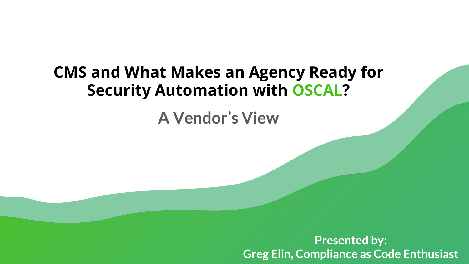## CMS and What Makes an Agency Ready for Security Automation with OSCAL?

A Vendor's View

Presented by: Greg Elin, Compliance as Code Enthusiast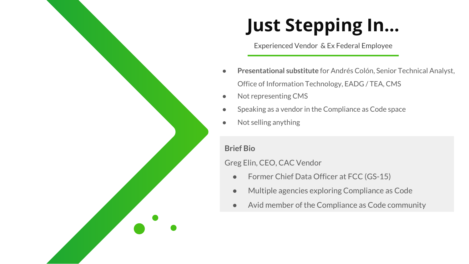# Just Stepping In...

I Experienced Vendor & Ex Federal Employee

- Presentational substitute for Andrés Colón, Senior Technical Analyst, Office of Information Technology, EADG / TEA, CMS
- Not representing CMS
- Speaking as a vendor in the Compliance as Code space
- Not selling anything

#### Brief Bio

#### Greg Elin, CEO, CAC Vendor

- Former Chief Data Officer at FCC (GS-15)
- Multiple agencies exploring Compliance as Code
- Avid member of the Compliance as Code community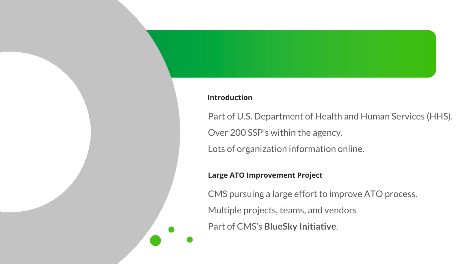#### Introduction

Part of U.S. Department of Health and Human Services (HHS). Over 200 SSP's within the agency. Lots of organization information online.

#### Large ATO Improvement Project

CMS pursuing a large effort to improve ATO process.

Multiple projects, teams, and vendors

Part of CMS's BlueSky Initiative.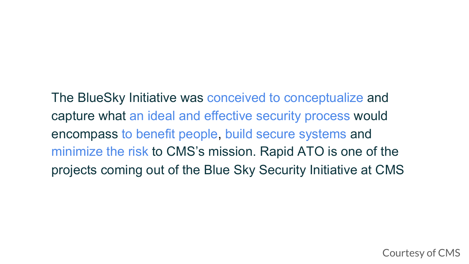The BlueSky Initiative was conceived to conceptualize and capture what an ideal and effective security process would encompass to benefit people, build secure systems and minimize the risk to CMS's mission. Rapid ATO is one of the projects coming out of the Blue Sky Security Initiative at CMS

Courtesy of CMS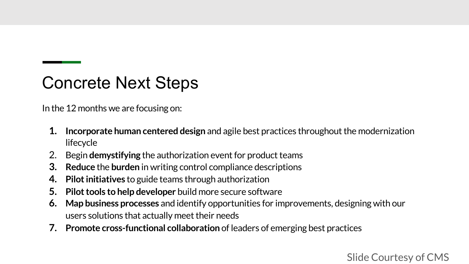## Concrete Next Steps

In the 12 months we are focusing on:

- 1. Incorporate human centered design and agile best practices throughout the modernization lifecycle
- 2. Begin demystifying the authorization event for product teams
- 3. Reduce the burden in writing control compliance descriptions
- 4. Pilot initiatives to guide teams through authorization
- 5. Pilot tools to help developer build more secure software
- 6. Map business processes and identify opportunities for improvements, designing with our users solutions that actually meet their needs
- 7. Promote cross-functional collaboration of leaders of emerging best practices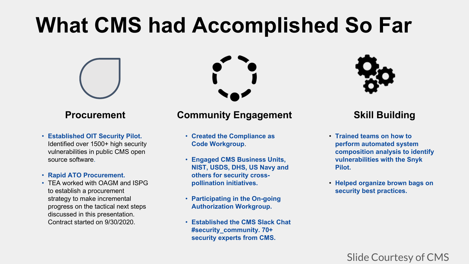# **What CMS had Accomplished So Far**



### **Procurement**

 • **Established OIT Security Pilot.**  Identified over 1500+ high security vulnerabilities in public CMS open source software.

#### • **Rapid ATO Procurement.**

 • TEA worked with OAGM and ISPG to establish a procurement strategy to make incremental progress on the tactical next steps discussed in this presentation. Contract started on 9/30/2020.

### **Community Engagement**

- **Created the Compliance as Code Workgroup**.
- **Engaged CMS Business Units, NIST, USDS, DHS, US Navy and others for security crosspollination initiatives.**
- **Participating in the On-going Authorization Workgroup.**
- **Established the CMS Slack Chat #security\_community. 70+ security experts from CMS.**



### **Skill Building**

- **Trained teams on how to perform automated system composition analysis to identify vulnerabilities with the Snyk Pilot.**
- **Helped organize brown bags on security best practices.**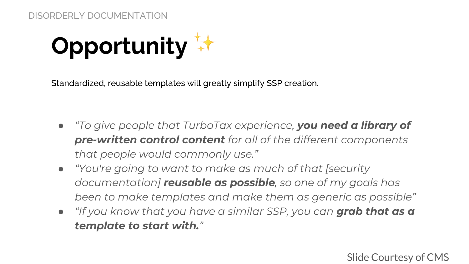Opportunity  $\mathbf{W}$ 

Standardized, reusable templates will greatly simplify SSP creation.

- *"To give people that TurboTax experience, you need a library of pre-written control content for all of the different components that people would commonly use."*
- *"You're going to want to make as much of that [security documentation] reusable as possible, so one of my goals has been to make templates and make them as generic as possible"*
- *"If you know that you have a similar SSP, you can grab that as a template to start with."*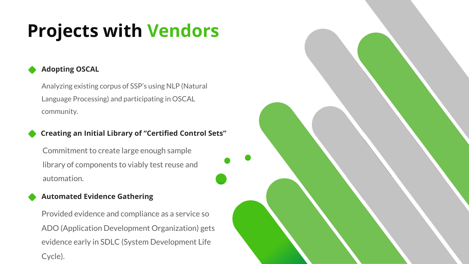# Projects with Vendors

### Adopting OSCAL

Analyzing existing corpus of SSP's using NLP (Natural Language Processing) and participating in OSCAL community.

#### Creating an Initial Library of "Certified Control Sets"

Commitment to create large enough sample library of components to viably test reuse and automation.

#### Automated Evidence Gathering

Provided evidence and compliance as a service so ADO (Application Development Organization) gets evidence early in SDLC (System Development Life Cycle).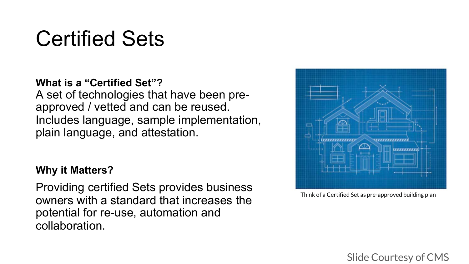# Certified Sets

## **What is a "Certified Set"?**  A set of technologies that have been pre- approved / vetted and can be reused. Includes language, sample implementation, plain language, and attestation.

### **Why it Matters?**

Providing certified Sets provides business Think of a Certified Set as pre-approved building plan owners with a standard that increases the owners with a standard that increases the potential for re-use, automation and collaboration.

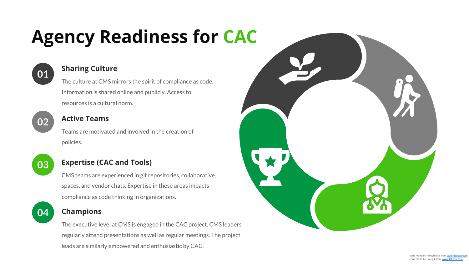# Agency Readiness for CAC



## **01** Sharing Culture

The culture at CMS mirrors the spirit of compliance as code. Information is shared online and publicly. Access to resources is a cultural norm.



#### Active Teams

Teams are motivated and involved in the creation of policies.



#### Expertise (CAC and Tools)

CMS teams are experienced in git repositories, collaborative spaces, and vendor chats. Expertise in these areas impacts compliance as code thinking in organizations.



#### 04 Champions

The executive level at CMS is engaged in the CAC project. CMS leaders regularly attend presentations as well as regular meetings. The project leads are similarly empowered and enthusiastic by CAC.

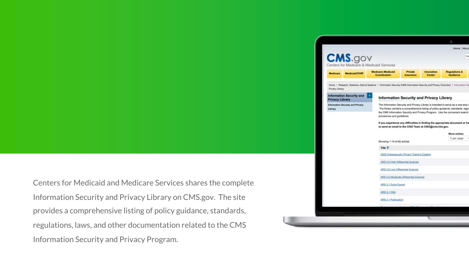|                                                                | <b>CMS.gov</b><br>Centers for Medicare & Medicaid Services |                                                                                                                                      |                                             |                                                                                                                                                                                                                                                                                                                                                                                                 |                                      |
|----------------------------------------------------------------|------------------------------------------------------------|--------------------------------------------------------------------------------------------------------------------------------------|---------------------------------------------|-------------------------------------------------------------------------------------------------------------------------------------------------------------------------------------------------------------------------------------------------------------------------------------------------------------------------------------------------------------------------------------------------|--------------------------------------|
| Medicare<br>Medicaid/CHIP                                      |                                                            | Medicare-Medicaid<br>Coordination                                                                                                    | Private<br>Insurance                        | Innovation<br>Center                                                                                                                                                                                                                                                                                                                                                                            | <b>Regulations &amp;</b><br>Guidance |
| Privacy Library                                                |                                                            | Home > Research, Statistics, Data & Systems > Information Security (CMS Information Security and Privacy Overview) > Information Se- |                                             |                                                                                                                                                                                                                                                                                                                                                                                                 |                                      |
| ×<br><b>Information Security and</b><br><b>Privacy Library</b> |                                                            | <b>Information Security and Privacy Library</b>                                                                                      |                                             |                                                                                                                                                                                                                                                                                                                                                                                                 |                                      |
| Information Security and Privacy<br>Library                    |                                                            | procedures and guidelines.                                                                                                           |                                             | The Information Security and Privacy Library is intended to serve as a one-stop n<br>The library contains a comprehensive listing of policy guidance, standards, regul<br>the CMS Information Security and Privacy Program. Use the convenient search<br>If you experience any difficulties in finding the appropriate document or ha<br>to send an email to the CISO Team at CISO@cms.hhs.gov. |                                      |
|                                                                |                                                            |                                                                                                                                      |                                             |                                                                                                                                                                                                                                                                                                                                                                                                 | Show entries:                        |
|                                                                |                                                            |                                                                                                                                      |                                             |                                                                                                                                                                                                                                                                                                                                                                                                 |                                      |
|                                                                |                                                            | Showing 1-10 of 65 entries                                                                                                           |                                             |                                                                                                                                                                                                                                                                                                                                                                                                 | 5 per page                           |
|                                                                |                                                            | Title $\hat{=}$                                                                                                                      |                                             |                                                                                                                                                                                                                                                                                                                                                                                                 |                                      |
|                                                                |                                                            |                                                                                                                                      | 2020 Cybersecurity Privacy Training Catalog |                                                                                                                                                                                                                                                                                                                                                                                                 |                                      |
|                                                                |                                                            |                                                                                                                                      | ARS 3.0 High Differential Analysis          |                                                                                                                                                                                                                                                                                                                                                                                                 |                                      |
|                                                                |                                                            | ARS 3.0 Low Differential Analysis                                                                                                    |                                             |                                                                                                                                                                                                                                                                                                                                                                                                 |                                      |
|                                                                |                                                            |                                                                                                                                      | ARS 3.0 Moderate Differential Analysis      |                                                                                                                                                                                                                                                                                                                                                                                                 |                                      |
|                                                                |                                                            | ARS 3.1 Excel Export                                                                                                                 |                                             |                                                                                                                                                                                                                                                                                                                                                                                                 |                                      |
|                                                                |                                                            | ARS 3.1 FAQ                                                                                                                          |                                             |                                                                                                                                                                                                                                                                                                                                                                                                 |                                      |
|                                                                |                                                            | <b>ARS 3.1 Publication</b>                                                                                                           |                                             |                                                                                                                                                                                                                                                                                                                                                                                                 |                                      |

Centers for Medicaid and Medicare Services shares the complete Information Security and Privacy Library on CMS.gov. The site provides a comprehensive listing of policy guidance, standards, regulations, laws, and other documentation related to the CMS Information Security and Privacy Program.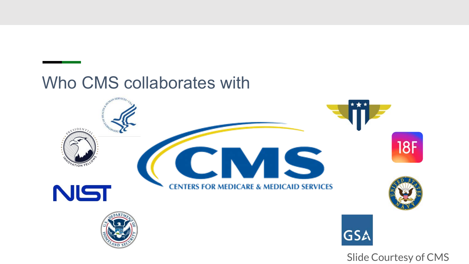## Who CMS collaborates with

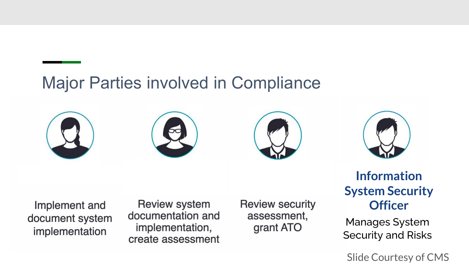## Major Parties involved in Compliance









Implement and document system implementation

Review system documentation and implementation, create assessment

**Review security** assessment, grant ATO

## Information System Security **Officer**

 Manages System Security and Risks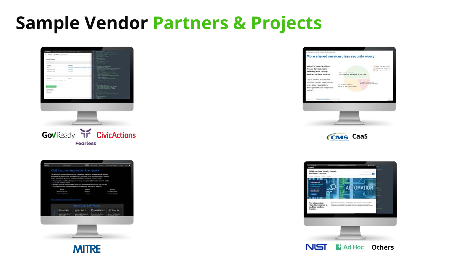# Sample Vendor Partners & Projects







| Adopting more CMS Cloud<br>Shared Services means                                                                                              |                                                                      | TLaser risk and affort<br>Bulliar statuted added.<br>Than risk and afford. |
|-----------------------------------------------------------------------------------------------------------------------------------------------|----------------------------------------------------------------------|----------------------------------------------------------------------------|
| inheriting more security<br>controls for those services.                                                                                      | 201 securety success.<br>Fully interited and senaged by DRI Elmut    |                                                                            |
| This is the first, foundational<br>step in a broader vision to build<br>more secure applications<br>through continuous compliance<br>AR C'APE | <b>123 initiative staterials</b><br><b>Harnd he see and ON Cloud</b> | TV amounts underly<br>Relativ your resumerability.                         |
|                                                                                                                                               |                                                                      |                                                                            |





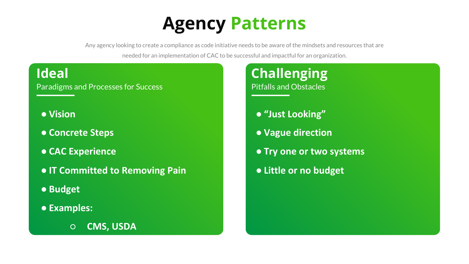# Agency Patterns

Any agency looking to create a compliance as code initiative needs to be aware of the mindsets and resources that are needed for an implementation of CAC to be successful and impactful for an organization.

## Ideal

Paradigms and Processes for Success

- **Vision**
- **Concrete Steps**
- **CAC Experience**
- **IT Committed to Removing Pain**
- **Budget**
- **Examples:** 
	- **CMS, USDA**

## Challenging Pitfalls and Obstacles

- **"Just Looking"**
- **Vague direction**
- **Try one or two systems**
- **Little or no budget**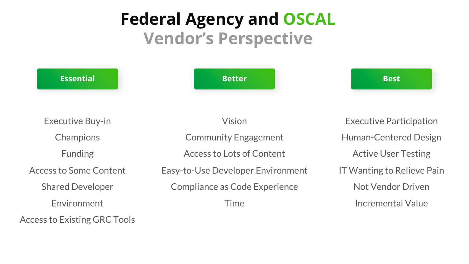## Federal Agency and OSCAL Vendor's Perspective